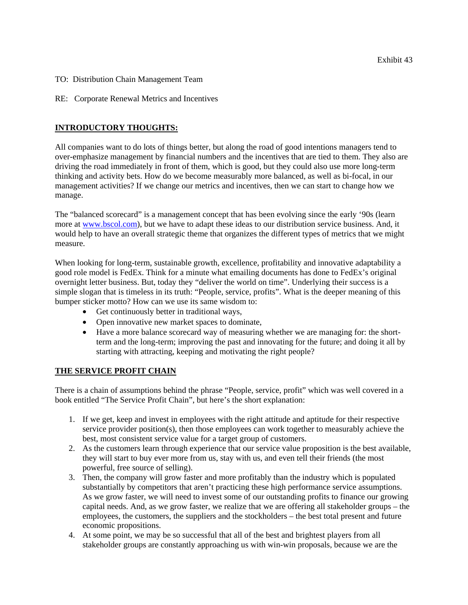- TO: Distribution Chain Management Team
- RE: Corporate Renewal Metrics and Incentives

## **INTRODUCTORY THOUGHTS:**

All companies want to do lots of things better, but along the road of good intentions managers tend to over-emphasize management by financial numbers and the incentives that are tied to them. They also are driving the road immediately in front of them, which is good, but they could also use more long-term thinking and activity bets. How do we become measurably more balanced, as well as bi-focal, in our management activities? If we change our metrics and incentives, then we can start to change how we manage.

The "balanced scorecard" is a management concept that has been evolving since the early '90s (learn more at [www.bscol.com\)](http://www.bscol.com/), but we have to adapt these ideas to our distribution service business. And, it would help to have an overall strategic theme that organizes the different types of metrics that we might measure.

When looking for long-term, sustainable growth, excellence, profitability and innovative adaptability a good role model is FedEx. Think for a minute what emailing documents has done to FedEx's original overnight letter business. But, today they "deliver the world on time". Underlying their success is a simple slogan that is timeless in its truth: "People, service, profits". What is the deeper meaning of this bumper sticker motto? How can we use its same wisdom to:

- Get continuously better in traditional ways,
- Open innovative new market spaces to dominate,
- Have a more balance scorecard way of measuring whether we are managing for: the shortterm and the long-term; improving the past and innovating for the future; and doing it all by starting with attracting, keeping and motivating the right people?

### **THE SERVICE PROFIT CHAIN**

There is a chain of assumptions behind the phrase "People, service, profit" which was well covered in a book entitled "The Service Profit Chain", but here's the short explanation:

- 1. If we get, keep and invest in employees with the right attitude and aptitude for their respective service provider position(s), then those employees can work together to measurably achieve the best, most consistent service value for a target group of customers.
- 2. As the customers learn through experience that our service value proposition is the best available, they will start to buy ever more from us, stay with us, and even tell their friends (the most powerful, free source of selling).
- 3. Then, the company will grow faster and more profitably than the industry which is populated substantially by competitors that aren't practicing these high performance service assumptions. As we grow faster, we will need to invest some of our outstanding profits to finance our growing capital needs. And, as we grow faster, we realize that we are offering all stakeholder groups – the employees, the customers, the suppliers and the stockholders – the best total present and future economic propositions.
- 4. At some point, we may be so successful that all of the best and brightest players from all stakeholder groups are constantly approaching us with win-win proposals, because we are the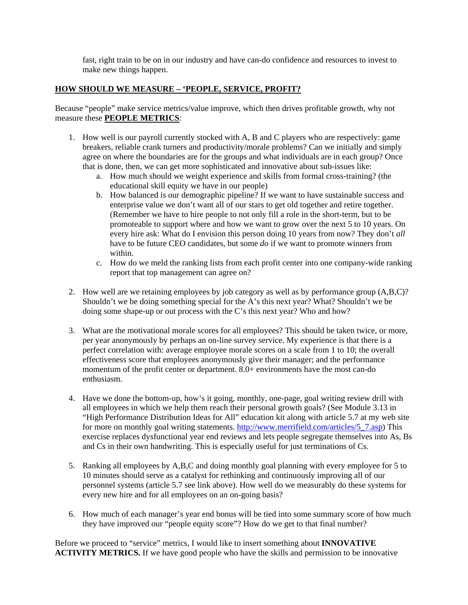fast, right train to be on in our industry and have can-do confidence and resources to invest to make new things happen.

#### **HOW SHOULD WE MEASURE – 'PEOPLE, SERVICE, PROFIT?**

Because "people" make service metrics/value improve, which then drives profitable growth, why not measure these **PEOPLE METRICS**:

- 1. How well is our payroll currently stocked with A, B and C players who are respectively: game breakers, reliable crank turners and productivity/morale problems? Can we initially and simply agree on where the boundaries are for the groups and what individuals are in each group? Once that is done, then, we can get more sophisticated and innovative about sub-issues like:
	- a. How much should we weight experience and skills from formal cross-training? (the educational skill equity we have in our people)
	- b. How balanced is our demographic pipeline? If we want to have sustainable success and enterprise value we don't want all of our stars to get old together and retire together. (Remember we have to hire people to not only fill a role in the short-term, but to be promoteable to support where and how we want to grow over the next 5 to 10 years. On every hire ask: What do I envision this person doing 10 years from now? They don't *all* have to be future CEO candidates, but some *do* if we want to promote winners from within.
	- c. How do we meld the ranking lists from each profit center into one company-wide ranking report that top management can agree on?
- 2. How well are we retaining employees by job category as well as by performance group (A,B,C)? Shouldn't we be doing something special for the A's this next year? What? Shouldn't we be doing some shape-up or out process with the C's this next year? Who and how?
- 3. What are the motivational morale scores for all employees? This should be taken twice, or more, per year anonymously by perhaps an on-line survey service. My experience is that there is a perfect correlation with: average employee morale scores on a scale from 1 to 10; the overall effectiveness score that employees anonymously give their manager; and the performance momentum of the profit center or department. 8.0+ environments have the most can-do enthusiasm.
- 4. Have we done the bottom-up, how's it going, monthly, one-page, goal writing review drill with all employees in which we help them reach their personal growth goals? (See Module 3.13 in "High Performance Distribution Ideas for All" education kit along with article 5.7 at my web site for more on monthly goal writing statements. [http://www.merrifield.com/articles/5\\_7.asp\)](http://www.merrifield.com/articles/5_7.asp) This exercise replaces dysfunctional year end reviews and lets people segregate themselves into As, Bs and Cs in their own handwriting. This is especially useful for just terminations of Cs.
- 5. Ranking all employees by A,B,C and doing monthly goal planning with every employee for 5 to 10 minutes should serve as a catalyst for rethinking and continuously improving all of our personnel systems (article 5.7 see link above). How well do we measurably do these systems for every new hire and for all employees on an on-going basis?
- 6. How much of each manager's year end bonus will be tied into some summary score of how much they have improved our "people equity score"? How do we get to that final number?

Before we proceed to "service" metrics, I would like to insert something about **INNOVATIVE ACTIVITY METRICS.** If we have good people who have the skills and permission to be innovative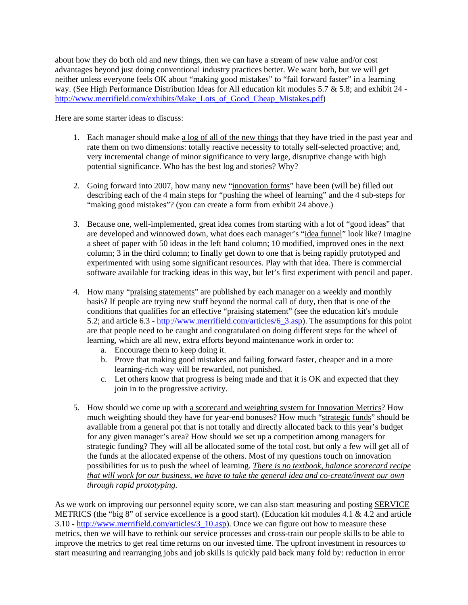about how they do both old and new things, then we can have a stream of new value and/or cost advantages beyond just doing conventional industry practices better. We want both, but we will get neither unless everyone feels OK about "making good mistakes" to "fail forward faster" in a learning way. (See High Performance Distribution Ideas for All education kit modules 5.7 & 5.8; and exhibit 24 http://www.merrifield.com/exhibits/Make Lots of Good Cheap Mistakes.pdf)

Here are some starter ideas to discuss:

- 1. Each manager should make a log of all of the new things that they have tried in the past year and rate them on two dimensions: totally reactive necessity to totally self-selected proactive; and, very incremental change of minor significance to very large, disruptive change with high potential significance. Who has the best log and stories? Why?
- 2. Going forward into 2007, how many new "innovation forms" have been (will be) filled out describing each of the 4 main steps for "pushing the wheel of learning" and the 4 sub-steps for "making good mistakes"? (you can create a form from exhibit 24 above.)
- 3. Because one, well-implemented, great idea comes from starting with a lot of "good ideas" that are developed and winnowed down, what does each manager's "idea funnel" look like? Imagine a sheet of paper with 50 ideas in the left hand column; 10 modified, improved ones in the next column; 3 in the third column; to finally get down to one that is being rapidly prototyped and experimented with using some significant resources. Play with that idea. There is commercial software available for tracking ideas in this way, but let's first experiment with pencil and paper.
- 4. How many "praising statements" are published by each manager on a weekly and monthly basis? If people are trying new stuff beyond the normal call of duty, then that is one of the conditions that qualifies for an effective "praising statement" (see the education kit's module 5.2; and article 6.3 - [http://www.merrifield.com/articles/6\\_3.asp\)](http://www.merrifield.com/articles/6_3.asp). The assumptions for this point are that people need to be caught and congratulated on doing different steps for the wheel of learning, which are all new, extra efforts beyond maintenance work in order to:
	- a. Encourage them to keep doing it.
	- b. Prove that making good mistakes and failing forward faster, cheaper and in a more learning-rich way will be rewarded, not punished.
	- c. Let others know that progress is being made and that it is OK and expected that they join in to the progressive activity.
- 5. How should we come up with a scorecard and weighting system for Innovation Metrics? How much weighting should they have for year-end bonuses? How much "strategic funds" should be available from a general pot that is not totally and directly allocated back to this year's budget for any given manager's area? How should we set up a competition among managers for strategic funding? They will all be allocated some of the total cost, but only a few will get all of the funds at the allocated expense of the others. Most of my questions touch on innovation possibilities for us to push the wheel of learning. *There is no textbook, balance scorecard recipe that will work for our business, we have to take the general idea and co-create/invent our own through rapid prototyping.*

As we work on improving our personnel equity score, we can also start measuring and posting SERVICE METRICS (the "big 8" of service excellence is a good start). (Education kit modules 4.1 & 4.2 and article 3.10 - [http://www.merrifield.com/articles/3\\_10.asp](http://www.merrifield.com/articles/3_10.asp)). Once we can figure out how to measure these metrics, then we will have to rethink our service processes and cross-train our people skills to be able to improve the metrics to get real time returns on our invested time. The upfront investment in resources to start measuring and rearranging jobs and job skills is quickly paid back many fold by: reduction in error